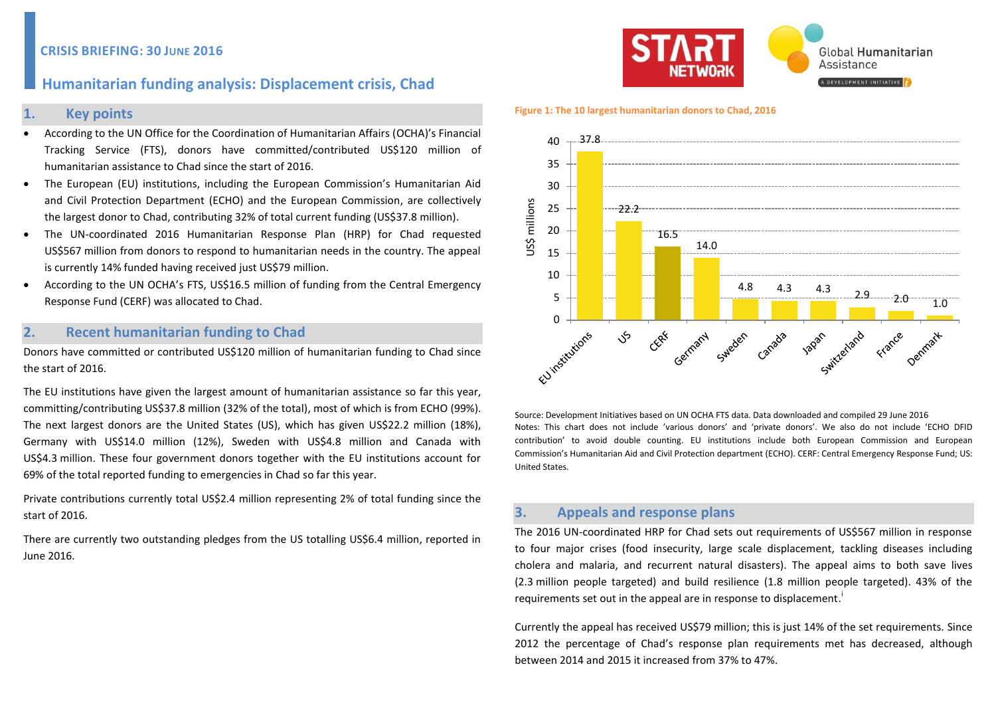# **Humanitarian funding analysis: Displacement crisis, Chad**

### **1. Key points**

- According to the UN Office for the Coordination of Humanitarian Affairs (OCHA)'s Financial Tracking Service (FTS), donors have committed/contributed US\$120 million of humanitarian assistance to Chad since the start of 2016.
- The European (EU) institutions, including the European Commission's Humanitarian Aid and Civil Protection Department (ECHO) and the European Commission, are collectively the largest donor to Chad, contributing 32% of total current funding (US\$37.8 million).
- The UN-coordinated 2016 Humanitarian Response Plan (HRP) for Chad requested US\$567 million from donors to respond to humanitarian needs in the country. The appeal is currently 14% funded having received just US\$79 million.
- According to the UN OCHA's FTS, US\$16.5 million of funding from the Central Emergency Response Fund (CERF) was allocated to Chad.

## **2. Recent humanitarian funding to Chad**

Donors have committed or contributed US\$120 million of humanitarian funding to Chad since the start of 2016.

The EU institutions have given the largest amount of humanitarian assistance so far this year, committing/contributing US\$37.8 million (32% of the total), most of which is from ECHO (99%). The next largest donors are the United States (US), which has given US\$22.2 million (18%), Germany with US\$14.0 million (12%), Sweden with US\$4.8 million and Canada with US\$4.3 million. These four government donors together with the EU institutions account for 69% of the total reported funding to emergencies in Chad so far this year.

Private contributions currently total US\$2.4 million representing 2% of total funding since the start of 2016.

There are currently two outstanding pledges from the US totalling US\$6.4 million, reported in June 2016.



#### **Figure 1: The 10 largest humanitarian donors to Chad, 2016**



Source: Development Initiatives based on UN OCHA FTS data. Data downloaded and compiled 29 June 2016 Notes: This chart does not include 'various donors' and 'private donors'. We also do not include 'ECHO DFID contribution' to avoid double counting. EU institutions include both European Commission and European Commission's Humanitarian Aid and Civil Protection department (ECHO). CERF: Central Emergency Response Fund; US: United States.

## **3. Appeals and response plans**

The 2016 UN-coordinated HRP for Chad sets out requirements of US\$567 million in response to four major crises (food insecurity, large scale displacement, tackling diseases including cholera and malaria, and recurrent natural disasters). The appeal aims to both save lives (2.3 million people targeted) and build resilience (1.8 million people targeted). 43% of the requirements set out in the appeal are in response to displacement.<sup>1</sup>

Currently the appeal has received US\$79 million; this is just 14% of the set requirements. Since 2012 the percentage of Chad's response plan requirements met has decreased, although between 2014 and 2015 it increased from 37% to 47%.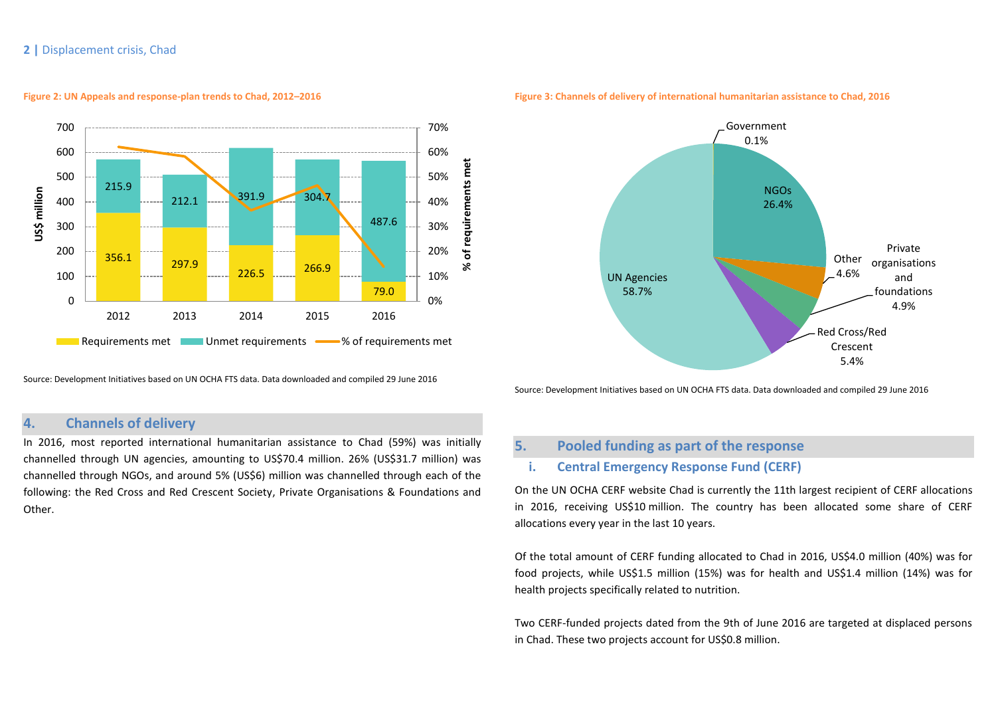### **2 |** Displacement crisis, Chad



**Figure 2: UN Appeals and response-plan trends to Chad, 2012–2016**

Source: Development Initiatives based on UN OCHA FTS data. Data downloaded and compiled 29 June 2016

## **4. Channels of delivery**

In 2016, most reported international humanitarian assistance to Chad (59%) was initially channelled through UN agencies, amounting to US\$70.4 million. 26% (US\$31.7 million) was channelled through NGOs, and around 5% (US\$6) million was channelled through each of the following: the Red Cross and Red Crescent Society, Private Organisations & Foundations and Other.



**Figure 3: Channels of delivery of international humanitarian assistance to Chad, 2016**

Source: Development Initiatives based on UN OCHA FTS data. Data downloaded and compiled 29 June 2016

# **5. Pooled funding as part of the response**

## **i. Central Emergency Response Fund (CERF)**

On the UN OCHA CERF website Chad is currently the 11th largest recipient of CERF allocations in 2016, receiving US\$10 million. The country has been allocated some share of CERF allocations every year in the last 10 years.

Of the total amount of CERF funding allocated to Chad in 2016, US\$4.0 million (40%) was for food projects, while US\$1.5 million (15%) was for health and US\$1.4 million (14%) was for health projects specifically related to nutrition.

Two CERF-funded projects dated from the 9th of June 2016 are targeted at displaced persons in Chad. These two projects account for US\$0.8 million.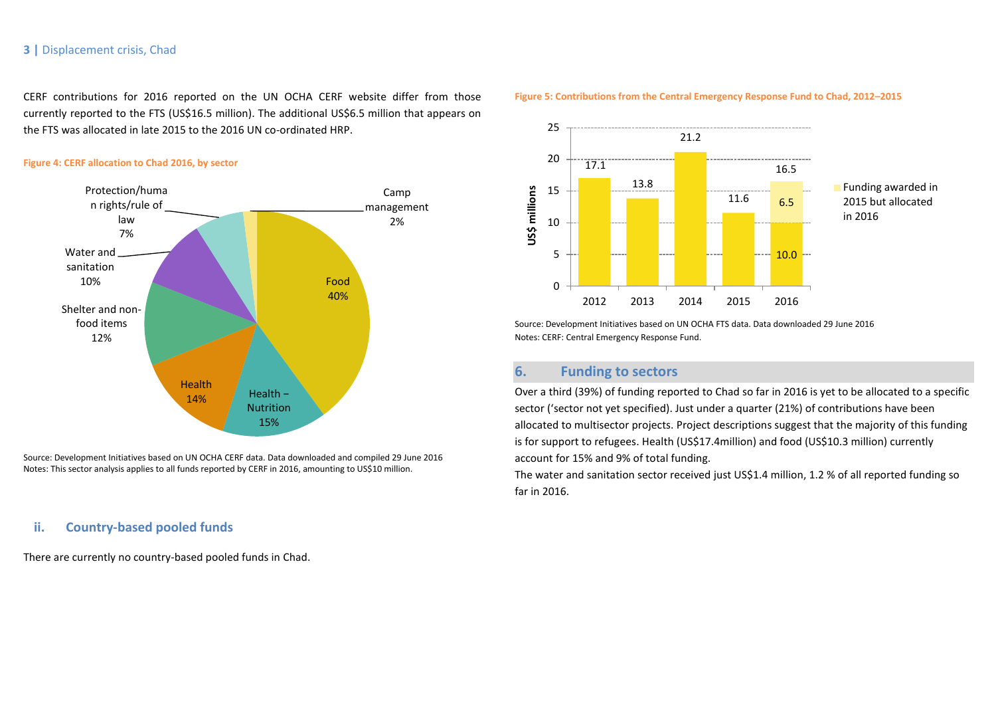### **3 |** Displacement crisis, Chad

CERF contributions for 2016 reported on the UN OCHA CERF website differ from those currently reported to the FTS (US\$16.5 million). The additional US\$6.5 million that appears on the FTS was allocated in late 2015 to the 2016 UN co-ordinated HRP.

#### **Figure 4: CERF allocation to Chad 2016, by sector**



Source: Development Initiatives based on UN OCHA CERF data. Data downloaded and compiled 29 June 2016 Notes: This sector analysis applies to all funds reported by CERF in 2016, amounting to US\$10 million.

## **ii. Country-based pooled funds**

There are currently no country-based pooled funds in Chad.



#### **Figure 5: Contributions from the Central Emergency Response Fund to Chad, 2012–2015**

Source: Development Initiatives based on UN OCHA FTS data. Data downloaded 29 June 2016 Notes: CERF: Central Emergency Response Fund.

# **6. Funding to sectors**

Over a third (39%) of funding reported to Chad so far in 2016 is yet to be allocated to a specific sector ('sector not yet specified). Just under a quarter (21%) of contributions have been allocated to multisector projects. Project descriptions suggest that the majority of this funding is for support to refugees. Health (US\$17.4million) and food (US\$10.3 million) currently account for 15% and 9% of total funding.

The water and sanitation sector received just US\$1.4 million, 1.2 % of all reported funding so far in 2016.